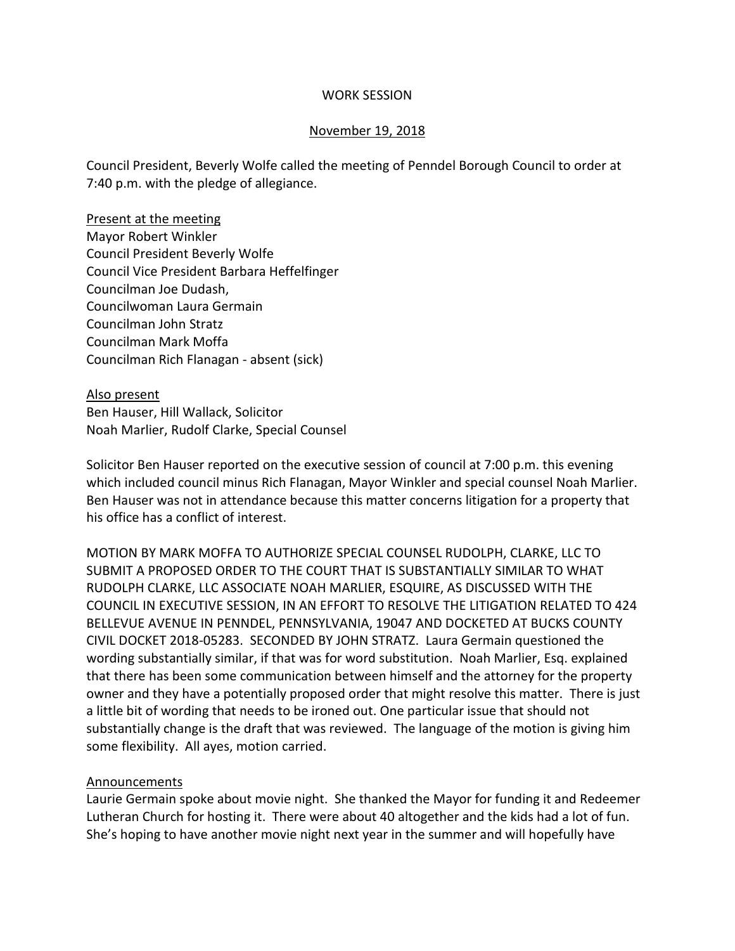### WORK SESSION

### November 19, 2018

Council President, Beverly Wolfe called the meeting of Penndel Borough Council to order at 7:40 p.m. with the pledge of allegiance.

Present at the meeting Mayor Robert Winkler Council President Beverly Wolfe Council Vice President Barbara Heffelfinger Councilman Joe Dudash, Councilwoman Laura Germain Councilman John Stratz Councilman Mark Moffa Councilman Rich Flanagan - absent (sick)

Also present Ben Hauser, Hill Wallack, Solicitor Noah Marlier, Rudolf Clarke, Special Counsel

Solicitor Ben Hauser reported on the executive session of council at 7:00 p.m. this evening which included council minus Rich Flanagan, Mayor Winkler and special counsel Noah Marlier. Ben Hauser was not in attendance because this matter concerns litigation for a property that his office has a conflict of interest.

MOTION BY MARK MOFFA TO AUTHORIZE SPECIAL COUNSEL RUDOLPH, CLARKE, LLC TO SUBMIT A PROPOSED ORDER TO THE COURT THAT IS SUBSTANTIALLY SIMILAR TO WHAT RUDOLPH CLARKE, LLC ASSOCIATE NOAH MARLIER, ESQUIRE, AS DISCUSSED WITH THE COUNCIL IN EXECUTIVE SESSION, IN AN EFFORT TO RESOLVE THE LITIGATION RELATED TO 424 BELLEVUE AVENUE IN PENNDEL, PENNSYLVANIA, 19047 AND DOCKETED AT BUCKS COUNTY CIVIL DOCKET 2018-05283. SECONDED BY JOHN STRATZ. Laura Germain questioned the wording substantially similar, if that was for word substitution. Noah Marlier, Esq. explained that there has been some communication between himself and the attorney for the property owner and they have a potentially proposed order that might resolve this matter. There is just a little bit of wording that needs to be ironed out. One particular issue that should not substantially change is the draft that was reviewed. The language of the motion is giving him some flexibility. All ayes, motion carried.

## Announcements

Laurie Germain spoke about movie night. She thanked the Mayor for funding it and Redeemer Lutheran Church for hosting it. There were about 40 altogether and the kids had a lot of fun. She's hoping to have another movie night next year in the summer and will hopefully have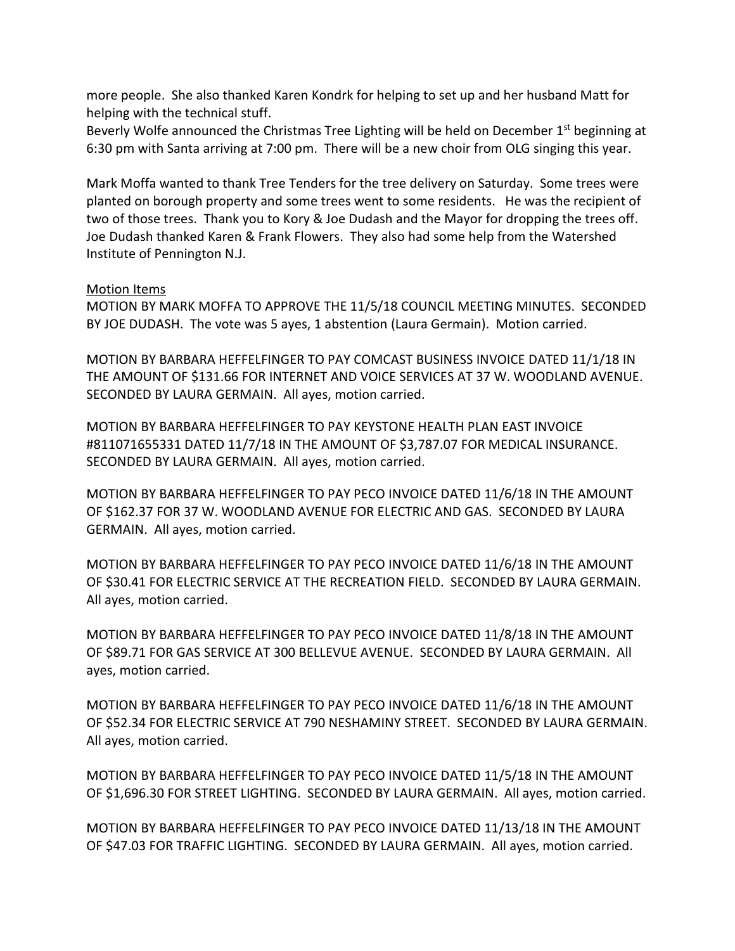more people. She also thanked Karen Kondrk for helping to set up and her husband Matt for helping with the technical stuff.

Beverly Wolfe announced the Christmas Tree Lighting will be held on December  $1<sup>st</sup>$  beginning at 6:30 pm with Santa arriving at 7:00 pm. There will be a new choir from OLG singing this year.

Mark Moffa wanted to thank Tree Tenders for the tree delivery on Saturday. Some trees were planted on borough property and some trees went to some residents. He was the recipient of two of those trees. Thank you to Kory & Joe Dudash and the Mayor for dropping the trees off. Joe Dudash thanked Karen & Frank Flowers. They also had some help from the Watershed Institute of Pennington N.J.

### Motion Items

MOTION BY MARK MOFFA TO APPROVE THE 11/5/18 COUNCIL MEETING MINUTES. SECONDED BY JOE DUDASH. The vote was 5 ayes, 1 abstention (Laura Germain). Motion carried.

MOTION BY BARBARA HEFFELFINGER TO PAY COMCAST BUSINESS INVOICE DATED 11/1/18 IN THE AMOUNT OF \$131.66 FOR INTERNET AND VOICE SERVICES AT 37 W. WOODLAND AVENUE. SECONDED BY LAURA GERMAIN. All ayes, motion carried.

MOTION BY BARBARA HEFFELFINGER TO PAY KEYSTONE HEALTH PLAN EAST INVOICE #811071655331 DATED 11/7/18 IN THE AMOUNT OF \$3,787.07 FOR MEDICAL INSURANCE. SECONDED BY LAURA GERMAIN. All ayes, motion carried.

MOTION BY BARBARA HEFFELFINGER TO PAY PECO INVOICE DATED 11/6/18 IN THE AMOUNT OF \$162.37 FOR 37 W. WOODLAND AVENUE FOR ELECTRIC AND GAS. SECONDED BY LAURA GERMAIN. All ayes, motion carried.

MOTION BY BARBARA HEFFELFINGER TO PAY PECO INVOICE DATED 11/6/18 IN THE AMOUNT OF \$30.41 FOR ELECTRIC SERVICE AT THE RECREATION FIELD. SECONDED BY LAURA GERMAIN. All ayes, motion carried.

MOTION BY BARBARA HEFFELFINGER TO PAY PECO INVOICE DATED 11/8/18 IN THE AMOUNT OF \$89.71 FOR GAS SERVICE AT 300 BELLEVUE AVENUE. SECONDED BY LAURA GERMAIN. All ayes, motion carried.

MOTION BY BARBARA HEFFELFINGER TO PAY PECO INVOICE DATED 11/6/18 IN THE AMOUNT OF \$52.34 FOR ELECTRIC SERVICE AT 790 NESHAMINY STREET. SECONDED BY LAURA GERMAIN. All ayes, motion carried.

MOTION BY BARBARA HEFFELFINGER TO PAY PECO INVOICE DATED 11/5/18 IN THE AMOUNT OF \$1,696.30 FOR STREET LIGHTING. SECONDED BY LAURA GERMAIN. All ayes, motion carried.

MOTION BY BARBARA HEFFELFINGER TO PAY PECO INVOICE DATED 11/13/18 IN THE AMOUNT OF \$47.03 FOR TRAFFIC LIGHTING. SECONDED BY LAURA GERMAIN. All ayes, motion carried.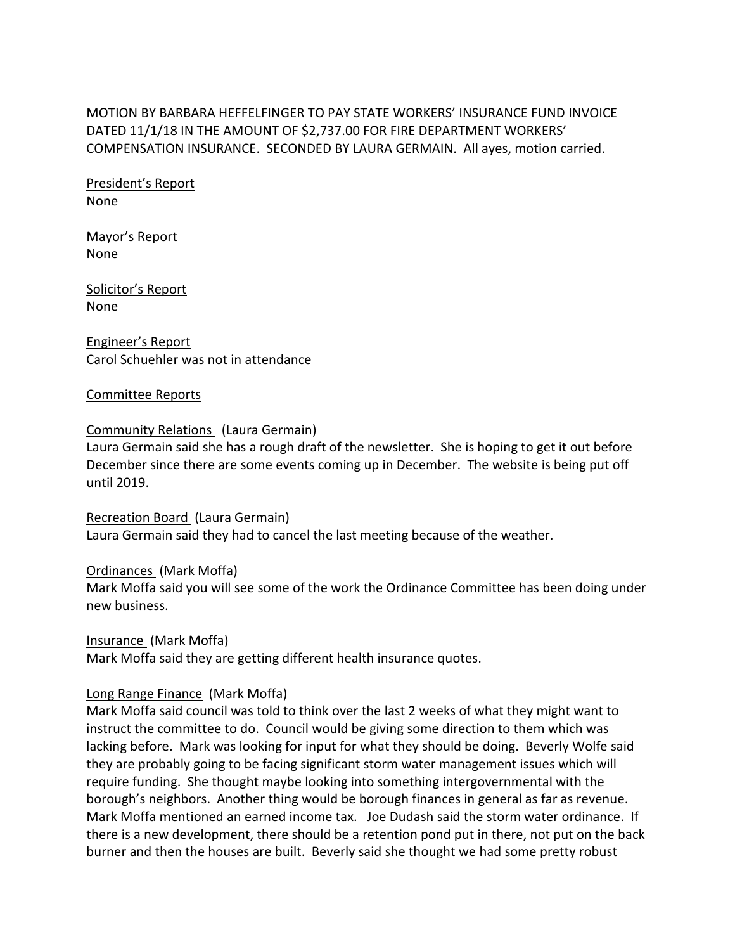MOTION BY BARBARA HEFFELFINGER TO PAY STATE WORKERS' INSURANCE FUND INVOICE DATED 11/1/18 IN THE AMOUNT OF \$2,737.00 FOR FIRE DEPARTMENT WORKERS' COMPENSATION INSURANCE. SECONDED BY LAURA GERMAIN. All ayes, motion carried.

President's Report None

Mayor's Report None

Solicitor's Report None

Engineer's Report Carol Schuehler was not in attendance

#### Committee Reports

### Community Relations (Laura Germain)

Laura Germain said she has a rough draft of the newsletter. She is hoping to get it out before December since there are some events coming up in December. The website is being put off until 2019.

Recreation Board (Laura Germain) Laura Germain said they had to cancel the last meeting because of the weather.

#### Ordinances (Mark Moffa)

Mark Moffa said you will see some of the work the Ordinance Committee has been doing under new business.

Insurance (Mark Moffa)

Mark Moffa said they are getting different health insurance quotes.

## Long Range Finance (Mark Moffa)

Mark Moffa said council was told to think over the last 2 weeks of what they might want to instruct the committee to do. Council would be giving some direction to them which was lacking before. Mark was looking for input for what they should be doing. Beverly Wolfe said they are probably going to be facing significant storm water management issues which will require funding. She thought maybe looking into something intergovernmental with the borough's neighbors. Another thing would be borough finances in general as far as revenue. Mark Moffa mentioned an earned income tax. Joe Dudash said the storm water ordinance. If there is a new development, there should be a retention pond put in there, not put on the back burner and then the houses are built. Beverly said she thought we had some pretty robust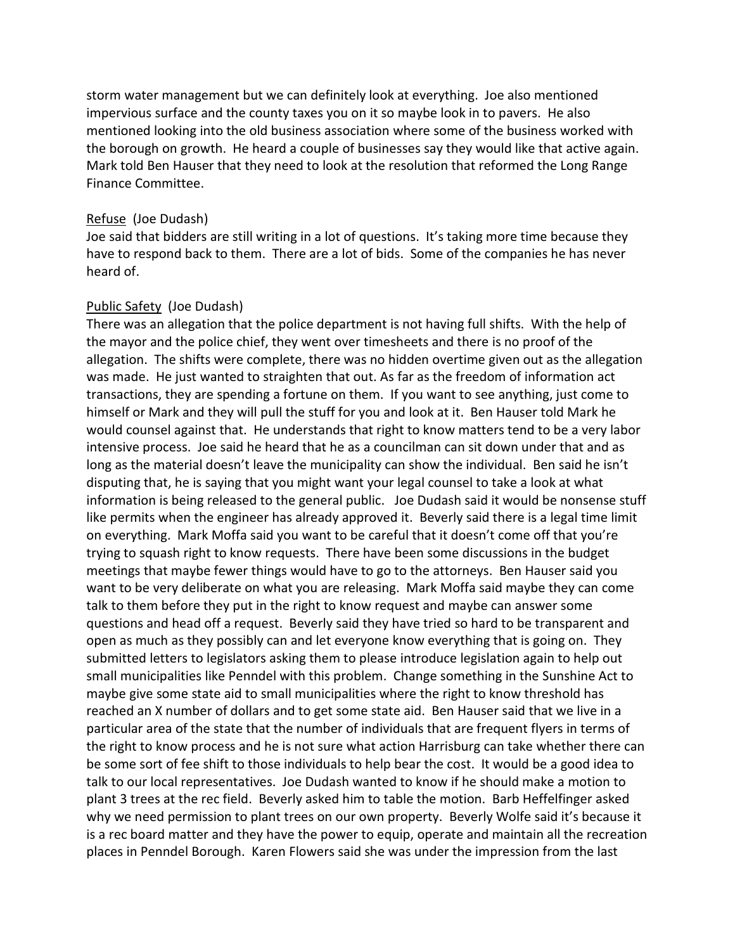storm water management but we can definitely look at everything. Joe also mentioned impervious surface and the county taxes you on it so maybe look in to pavers. He also mentioned looking into the old business association where some of the business worked with the borough on growth. He heard a couple of businesses say they would like that active again. Mark told Ben Hauser that they need to look at the resolution that reformed the Long Range Finance Committee.

### Refuse (Joe Dudash)

Joe said that bidders are still writing in a lot of questions. It's taking more time because they have to respond back to them. There are a lot of bids. Some of the companies he has never heard of.

## Public Safety (Joe Dudash)

There was an allegation that the police department is not having full shifts. With the help of the mayor and the police chief, they went over timesheets and there is no proof of the allegation. The shifts were complete, there was no hidden overtime given out as the allegation was made. He just wanted to straighten that out. As far as the freedom of information act transactions, they are spending a fortune on them. If you want to see anything, just come to himself or Mark and they will pull the stuff for you and look at it. Ben Hauser told Mark he would counsel against that. He understands that right to know matters tend to be a very labor intensive process. Joe said he heard that he as a councilman can sit down under that and as long as the material doesn't leave the municipality can show the individual. Ben said he isn't disputing that, he is saying that you might want your legal counsel to take a look at what information is being released to the general public. Joe Dudash said it would be nonsense stuff like permits when the engineer has already approved it. Beverly said there is a legal time limit on everything. Mark Moffa said you want to be careful that it doesn't come off that you're trying to squash right to know requests. There have been some discussions in the budget meetings that maybe fewer things would have to go to the attorneys. Ben Hauser said you want to be very deliberate on what you are releasing. Mark Moffa said maybe they can come talk to them before they put in the right to know request and maybe can answer some questions and head off a request. Beverly said they have tried so hard to be transparent and open as much as they possibly can and let everyone know everything that is going on. They submitted letters to legislators asking them to please introduce legislation again to help out small municipalities like Penndel with this problem. Change something in the Sunshine Act to maybe give some state aid to small municipalities where the right to know threshold has reached an X number of dollars and to get some state aid. Ben Hauser said that we live in a particular area of the state that the number of individuals that are frequent flyers in terms of the right to know process and he is not sure what action Harrisburg can take whether there can be some sort of fee shift to those individuals to help bear the cost. It would be a good idea to talk to our local representatives. Joe Dudash wanted to know if he should make a motion to plant 3 trees at the rec field. Beverly asked him to table the motion. Barb Heffelfinger asked why we need permission to plant trees on our own property. Beverly Wolfe said it's because it is a rec board matter and they have the power to equip, operate and maintain all the recreation places in Penndel Borough. Karen Flowers said she was under the impression from the last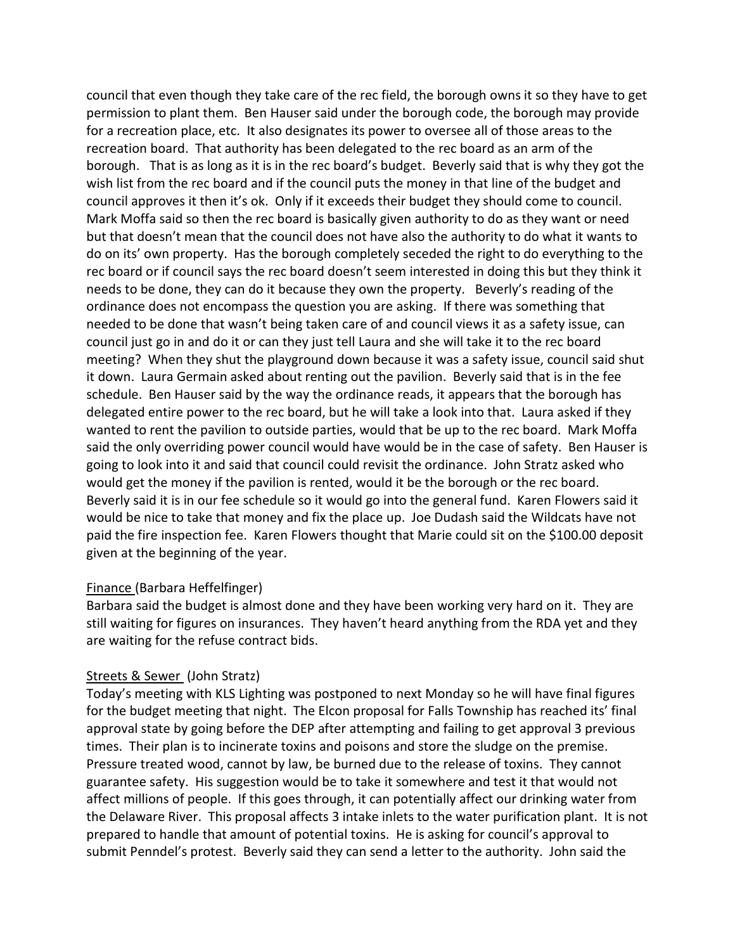council that even though they take care of the rec field, the borough owns it so they have to get permission to plant them. Ben Hauser said under the borough code, the borough may provide for a recreation place, etc. It also designates its power to oversee all of those areas to the recreation board. That authority has been delegated to the rec board as an arm of the borough. That is as long as it is in the rec board's budget. Beverly said that is why they got the wish list from the rec board and if the council puts the money in that line of the budget and council approves it then it's ok. Only if it exceeds their budget they should come to council. Mark Moffa said so then the rec board is basically given authority to do as they want or need but that doesn't mean that the council does not have also the authority to do what it wants to do on its' own property. Has the borough completely seceded the right to do everything to the rec board or if council says the rec board doesn't seem interested in doing this but they think it needs to be done, they can do it because they own the property. Beverly's reading of the ordinance does not encompass the question you are asking. If there was something that needed to be done that wasn't being taken care of and council views it as a safety issue, can council just go in and do it or can they just tell Laura and she will take it to the rec board meeting? When they shut the playground down because it was a safety issue, council said shut it down. Laura Germain asked about renting out the pavilion. Beverly said that is in the fee schedule. Ben Hauser said by the way the ordinance reads, it appears that the borough has delegated entire power to the rec board, but he will take a look into that. Laura asked if they wanted to rent the pavilion to outside parties, would that be up to the rec board. Mark Moffa said the only overriding power council would have would be in the case of safety. Ben Hauser is going to look into it and said that council could revisit the ordinance. John Stratz asked who would get the money if the pavilion is rented, would it be the borough or the rec board. Beverly said it is in our fee schedule so it would go into the general fund. Karen Flowers said it would be nice to take that money and fix the place up. Joe Dudash said the Wildcats have not paid the fire inspection fee. Karen Flowers thought that Marie could sit on the \$100.00 deposit given at the beginning of the year.

## Finance (Barbara Heffelfinger)

Barbara said the budget is almost done and they have been working very hard on it. They are still waiting for figures on insurances. They haven't heard anything from the RDA yet and they are waiting for the refuse contract bids.

#### Streets & Sewer (John Stratz)

Today's meeting with KLS Lighting was postponed to next Monday so he will have final figures for the budget meeting that night. The Elcon proposal for Falls Township has reached its' final approval state by going before the DEP after attempting and failing to get approval 3 previous times. Their plan is to incinerate toxins and poisons and store the sludge on the premise. Pressure treated wood, cannot by law, be burned due to the release of toxins. They cannot guarantee safety. His suggestion would be to take it somewhere and test it that would not affect millions of people. If this goes through, it can potentially affect our drinking water from the Delaware River. This proposal affects 3 intake inlets to the water purification plant. It is not prepared to handle that amount of potential toxins. He is asking for council's approval to submit Penndel's protest. Beverly said they can send a letter to the authority. John said the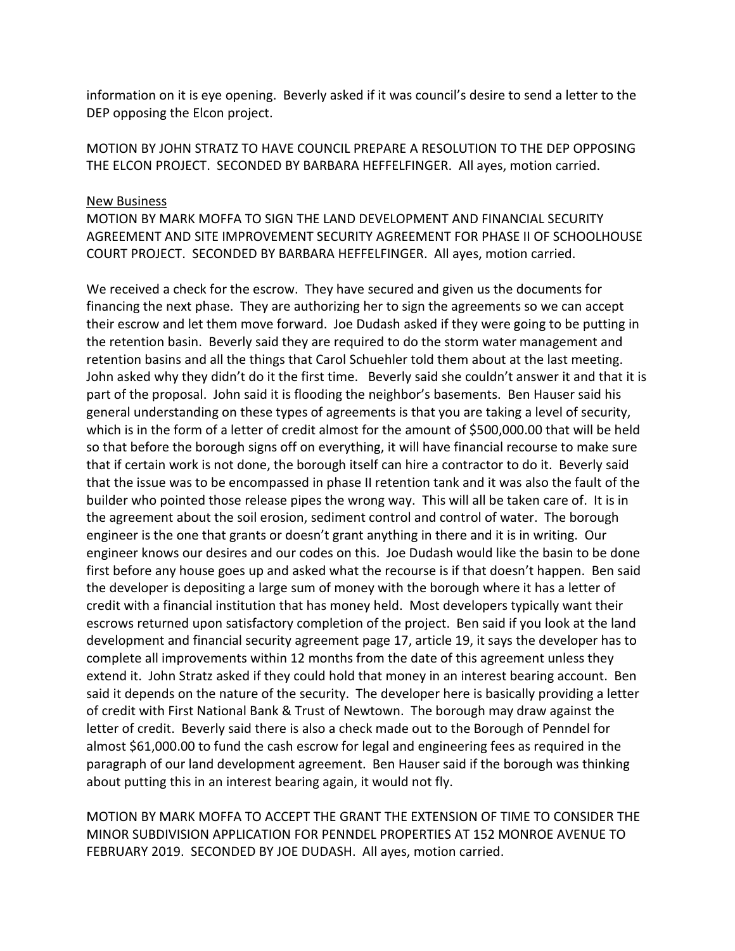information on it is eye opening. Beverly asked if it was council's desire to send a letter to the DEP opposing the Elcon project.

MOTION BY JOHN STRATZ TO HAVE COUNCIL PREPARE A RESOLUTION TO THE DEP OPPOSING THE ELCON PROJECT. SECONDED BY BARBARA HEFFELFINGER. All ayes, motion carried.

#### New Business

MOTION BY MARK MOFFA TO SIGN THE LAND DEVELOPMENT AND FINANCIAL SECURITY AGREEMENT AND SITE IMPROVEMENT SECURITY AGREEMENT FOR PHASE II OF SCHOOLHOUSE COURT PROJECT. SECONDED BY BARBARA HEFFELFINGER. All ayes, motion carried.

We received a check for the escrow. They have secured and given us the documents for financing the next phase. They are authorizing her to sign the agreements so we can accept their escrow and let them move forward. Joe Dudash asked if they were going to be putting in the retention basin. Beverly said they are required to do the storm water management and retention basins and all the things that Carol Schuehler told them about at the last meeting. John asked why they didn't do it the first time. Beverly said she couldn't answer it and that it is part of the proposal. John said it is flooding the neighbor's basements. Ben Hauser said his general understanding on these types of agreements is that you are taking a level of security, which is in the form of a letter of credit almost for the amount of \$500,000.00 that will be held so that before the borough signs off on everything, it will have financial recourse to make sure that if certain work is not done, the borough itself can hire a contractor to do it. Beverly said that the issue was to be encompassed in phase II retention tank and it was also the fault of the builder who pointed those release pipes the wrong way. This will all be taken care of. It is in the agreement about the soil erosion, sediment control and control of water. The borough engineer is the one that grants or doesn't grant anything in there and it is in writing. Our engineer knows our desires and our codes on this. Joe Dudash would like the basin to be done first before any house goes up and asked what the recourse is if that doesn't happen. Ben said the developer is depositing a large sum of money with the borough where it has a letter of credit with a financial institution that has money held. Most developers typically want their escrows returned upon satisfactory completion of the project. Ben said if you look at the land development and financial security agreement page 17, article 19, it says the developer has to complete all improvements within 12 months from the date of this agreement unless they extend it. John Stratz asked if they could hold that money in an interest bearing account. Ben said it depends on the nature of the security. The developer here is basically providing a letter of credit with First National Bank & Trust of Newtown. The borough may draw against the letter of credit. Beverly said there is also a check made out to the Borough of Penndel for almost \$61,000.00 to fund the cash escrow for legal and engineering fees as required in the paragraph of our land development agreement. Ben Hauser said if the borough was thinking about putting this in an interest bearing again, it would not fly.

MOTION BY MARK MOFFA TO ACCEPT THE GRANT THE EXTENSION OF TIME TO CONSIDER THE MINOR SUBDIVISION APPLICATION FOR PENNDEL PROPERTIES AT 152 MONROE AVENUE TO FEBRUARY 2019. SECONDED BY JOE DUDASH. All ayes, motion carried.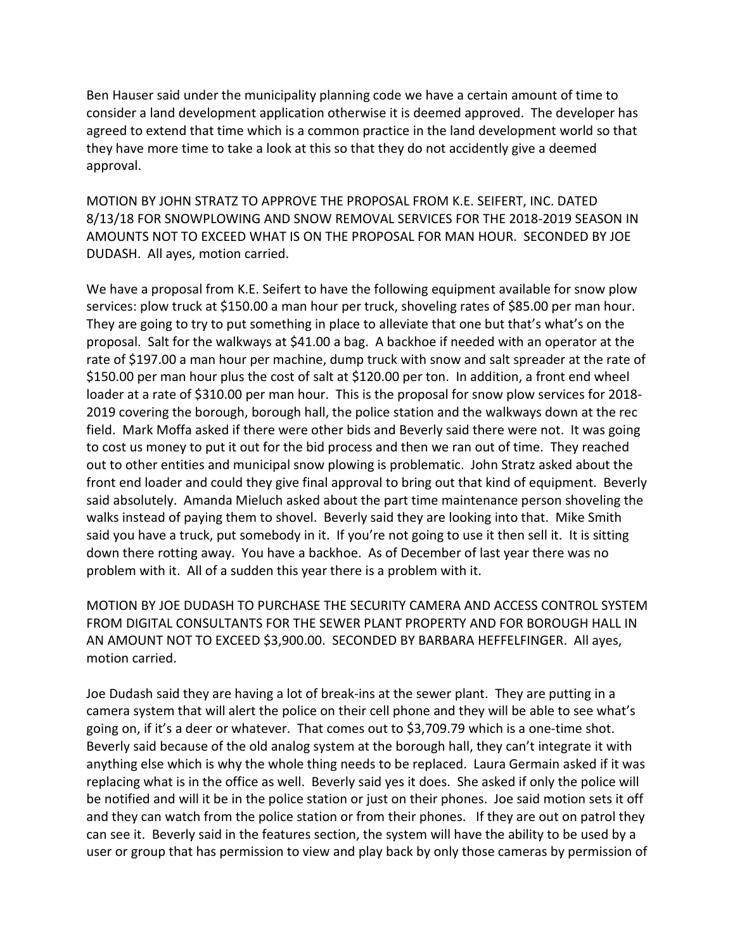Ben Hauser said under the municipality planning code we have a certain amount of time to consider a land development application otherwise it is deemed approved. The developer has agreed to extend that time which is a common practice in the land development world so that they have more time to take a look at this so that they do not accidently give a deemed approval.

MOTION BY JOHN STRATZ TO APPROVE THE PROPOSAL FROM K.E. SEIFERT, INC. DATED 8/13/18 FOR SNOWPLOWING AND SNOW REMOVAL SERVICES FOR THE 2018-2019 SEASON IN AMOUNTS NOT TO EXCEED WHAT IS ON THE PROPOSAL FOR MAN HOUR. SECONDED BY JOE DUDASH. All ayes, motion carried.

We have a proposal from K.E. Seifert to have the following equipment available for snow plow services: plow truck at \$150.00 a man hour per truck, shoveling rates of \$85.00 per man hour. They are going to try to put something in place to alleviate that one but that's what's on the proposal. Salt for the walkways at \$41.00 a bag. A backhoe if needed with an operator at the rate of \$197.00 a man hour per machine, dump truck with snow and salt spreader at the rate of \$150.00 per man hour plus the cost of salt at \$120.00 per ton. In addition, a front end wheel loader at a rate of \$310.00 per man hour. This is the proposal for snow plow services for 2018-2019 covering the borough, borough hall, the police station and the walkways down at the rec field. Mark Moffa asked if there were other bids and Beverly said there were not. It was going to cost us money to put it out for the bid process and then we ran out of time. They reached out to other entities and municipal snow plowing is problematic. John Stratz asked about the front end loader and could they give final approval to bring out that kind of equipment. Beverly said absolutely. Amanda Mieluch asked about the part time maintenance person shoveling the walks instead of paying them to shovel. Beverly said they are looking into that. Mike Smith said you have a truck, put somebody in it. If you're not going to use it then sell it. It is sitting down there rotting away. You have a backhoe. As of December of last year there was no problem with it. All of a sudden this year there is a problem with it.

MOTION BY JOE DUDASH TO PURCHASE THE SECURITY CAMERA AND ACCESS CONTROL SYSTEM FROM DIGITAL CONSULTANTS FOR THE SEWER PLANT PROPERTY AND FOR BOROUGH HALL IN AN AMOUNT NOT TO EXCEED \$3,900.00. SECONDED BY BARBARA HEFFELFINGER. All ayes, motion carried.

Joe Dudash said they are having a lot of break-ins at the sewer plant. They are putting in a camera system that will alert the police on their cell phone and they will be able to see what's going on, if it's a deer or whatever. That comes out to \$3,709.79 which is a one-time shot. Beverly said because of the old analog system at the borough hall, they can't integrate it with anything else which is why the whole thing needs to be replaced. Laura Germain asked if it was replacing what is in the office as well. Beverly said yes it does. She asked if only the police will be notified and will it be in the police station or just on their phones. Joe said motion sets it off and they can watch from the police station or from their phones. If they are out on patrol they can see it. Beverly said in the features section, the system will have the ability to be used by a user or group that has permission to view and play back by only those cameras by permission of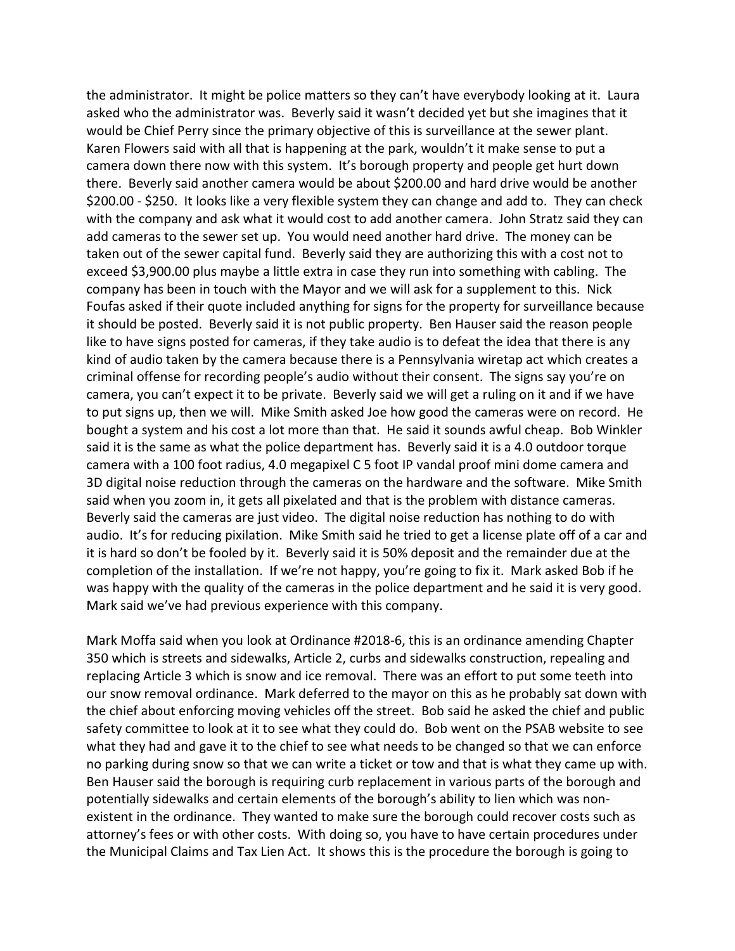the administrator. It might be police matters so they can't have everybody looking at it. Laura asked who the administrator was. Beverly said it wasn't decided yet but she imagines that it would be Chief Perry since the primary objective of this is surveillance at the sewer plant. Karen Flowers said with all that is happening at the park, wouldn't it make sense to put a camera down there now with this system. It's borough property and people get hurt down there. Beverly said another camera would be about \$200.00 and hard drive would be another \$200.00 - \$250. It looks like a very flexible system they can change and add to. They can check with the company and ask what it would cost to add another camera. John Stratz said they can add cameras to the sewer set up. You would need another hard drive. The money can be taken out of the sewer capital fund. Beverly said they are authorizing this with a cost not to exceed \$3,900.00 plus maybe a little extra in case they run into something with cabling. The company has been in touch with the Mayor and we will ask for a supplement to this. Nick Foufas asked if their quote included anything for signs for the property for surveillance because it should be posted. Beverly said it is not public property. Ben Hauser said the reason people like to have signs posted for cameras, if they take audio is to defeat the idea that there is any kind of audio taken by the camera because there is a Pennsylvania wiretap act which creates a criminal offense for recording people's audio without their consent. The signs say you're on camera, you can't expect it to be private. Beverly said we will get a ruling on it and if we have to put signs up, then we will. Mike Smith asked Joe how good the cameras were on record. He bought a system and his cost a lot more than that. He said it sounds awful cheap. Bob Winkler said it is the same as what the police department has. Beverly said it is a 4.0 outdoor torque camera with a 100 foot radius, 4.0 megapixel C 5 foot IP vandal proof mini dome camera and 3D digital noise reduction through the cameras on the hardware and the software. Mike Smith said when you zoom in, it gets all pixelated and that is the problem with distance cameras. Beverly said the cameras are just video. The digital noise reduction has nothing to do with audio. It's for reducing pixilation. Mike Smith said he tried to get a license plate off of a car and it is hard so don't be fooled by it. Beverly said it is 50% deposit and the remainder due at the completion of the installation. If we're not happy, you're going to fix it. Mark asked Bob if he was happy with the quality of the cameras in the police department and he said it is very good. Mark said we've had previous experience with this company.

Mark Moffa said when you look at Ordinance #2018-6, this is an ordinance amending Chapter 350 which is streets and sidewalks, Article 2, curbs and sidewalks construction, repealing and replacing Article 3 which is snow and ice removal. There was an effort to put some teeth into our snow removal ordinance. Mark deferred to the mayor on this as he probably sat down with the chief about enforcing moving vehicles off the street. Bob said he asked the chief and public safety committee to look at it to see what they could do. Bob went on the PSAB website to see what they had and gave it to the chief to see what needs to be changed so that we can enforce no parking during snow so that we can write a ticket or tow and that is what they came up with. Ben Hauser said the borough is requiring curb replacement in various parts of the borough and potentially sidewalks and certain elements of the borough's ability to lien which was nonexistent in the ordinance. They wanted to make sure the borough could recover costs such as attorney's fees or with other costs. With doing so, you have to have certain procedures under the Municipal Claims and Tax Lien Act. It shows this is the procedure the borough is going to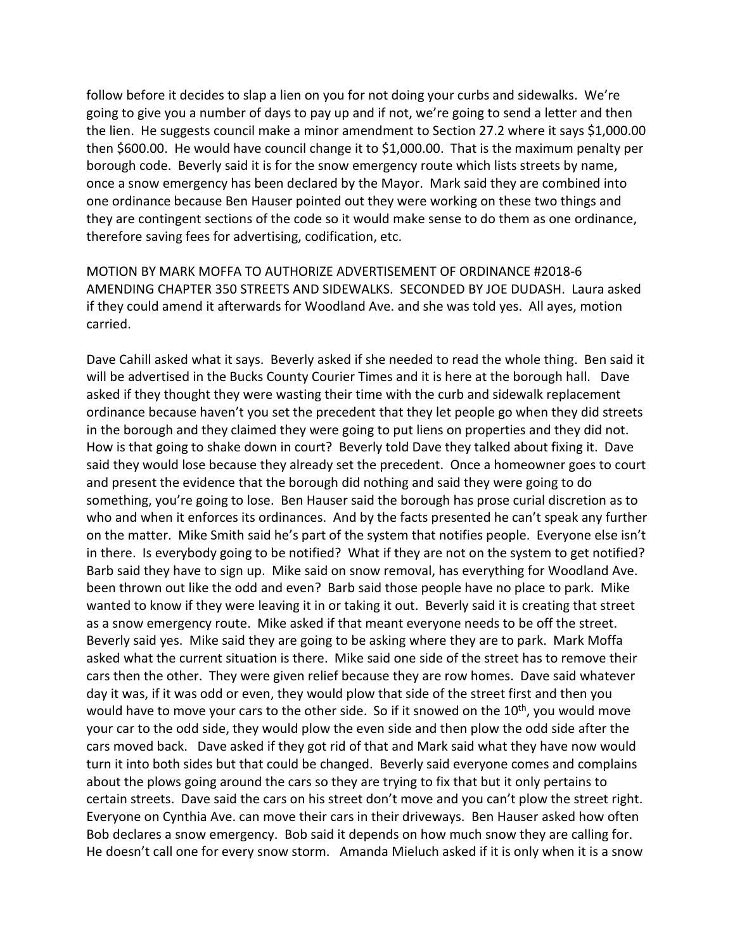follow before it decides to slap a lien on you for not doing your curbs and sidewalks. We're going to give you a number of days to pay up and if not, we're going to send a letter and then the lien. He suggests council make a minor amendment to Section 27.2 where it says \$1,000.00 then \$600.00. He would have council change it to \$1,000.00. That is the maximum penalty per borough code. Beverly said it is for the snow emergency route which lists streets by name, once a snow emergency has been declared by the Mayor. Mark said they are combined into one ordinance because Ben Hauser pointed out they were working on these two things and they are contingent sections of the code so it would make sense to do them as one ordinance, therefore saving fees for advertising, codification, etc.

MOTION BY MARK MOFFA TO AUTHORIZE ADVERTISEMENT OF ORDINANCE #2018-6 AMENDING CHAPTER 350 STREETS AND SIDEWALKS. SECONDED BY JOE DUDASH. Laura asked if they could amend it afterwards for Woodland Ave. and she was told yes. All ayes, motion carried.

Dave Cahill asked what it says. Beverly asked if she needed to read the whole thing. Ben said it will be advertised in the Bucks County Courier Times and it is here at the borough hall. Dave asked if they thought they were wasting their time with the curb and sidewalk replacement ordinance because haven't you set the precedent that they let people go when they did streets in the borough and they claimed they were going to put liens on properties and they did not. How is that going to shake down in court? Beverly told Dave they talked about fixing it. Dave said they would lose because they already set the precedent. Once a homeowner goes to court and present the evidence that the borough did nothing and said they were going to do something, you're going to lose. Ben Hauser said the borough has prose curial discretion as to who and when it enforces its ordinances. And by the facts presented he can't speak any further on the matter. Mike Smith said he's part of the system that notifies people. Everyone else isn't in there. Is everybody going to be notified? What if they are not on the system to get notified? Barb said they have to sign up. Mike said on snow removal, has everything for Woodland Ave. been thrown out like the odd and even? Barb said those people have no place to park. Mike wanted to know if they were leaving it in or taking it out. Beverly said it is creating that street as a snow emergency route. Mike asked if that meant everyone needs to be off the street. Beverly said yes. Mike said they are going to be asking where they are to park. Mark Moffa asked what the current situation is there. Mike said one side of the street has to remove their cars then the other. They were given relief because they are row homes. Dave said whatever day it was, if it was odd or even, they would plow that side of the street first and then you would have to move your cars to the other side. So if it snowed on the  $10^{th}$ , you would move your car to the odd side, they would plow the even side and then plow the odd side after the cars moved back. Dave asked if they got rid of that and Mark said what they have now would turn it into both sides but that could be changed. Beverly said everyone comes and complains about the plows going around the cars so they are trying to fix that but it only pertains to certain streets. Dave said the cars on his street don't move and you can't plow the street right. Everyone on Cynthia Ave. can move their cars in their driveways. Ben Hauser asked how often Bob declares a snow emergency. Bob said it depends on how much snow they are calling for. He doesn't call one for every snow storm. Amanda Mieluch asked if it is only when it is a snow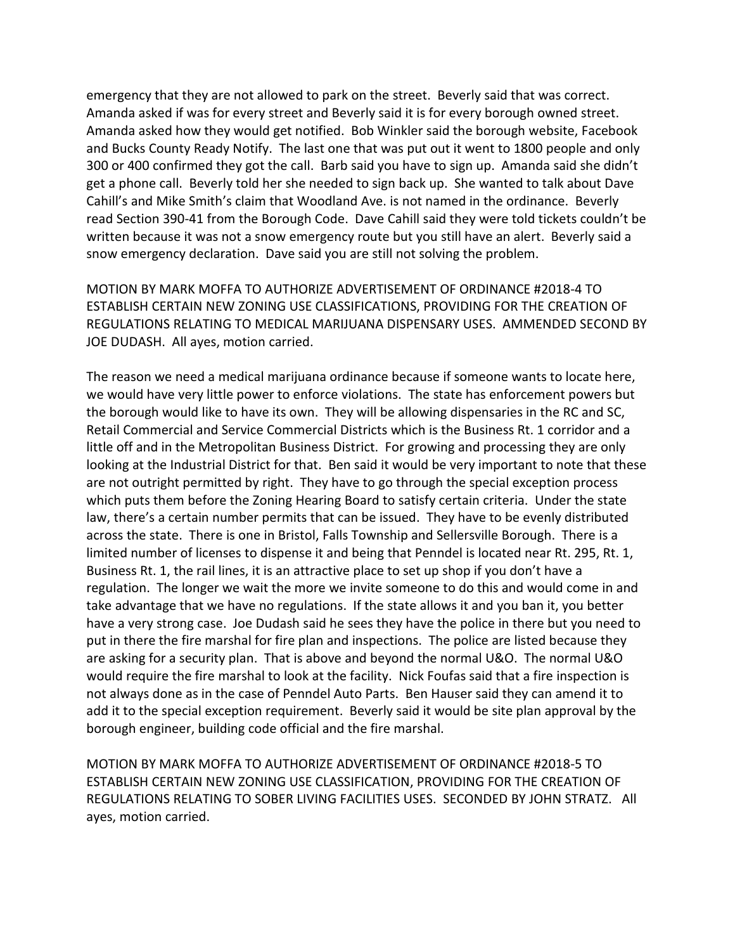emergency that they are not allowed to park on the street. Beverly said that was correct. Amanda asked if was for every street and Beverly said it is for every borough owned street. Amanda asked how they would get notified. Bob Winkler said the borough website, Facebook and Bucks County Ready Notify. The last one that was put out it went to 1800 people and only 300 or 400 confirmed they got the call. Barb said you have to sign up. Amanda said she didn't get a phone call. Beverly told her she needed to sign back up. She wanted to talk about Dave Cahill's and Mike Smith's claim that Woodland Ave. is not named in the ordinance. Beverly read Section 390-41 from the Borough Code. Dave Cahill said they were told tickets couldn't be written because it was not a snow emergency route but you still have an alert. Beverly said a snow emergency declaration. Dave said you are still not solving the problem.

MOTION BY MARK MOFFA TO AUTHORIZE ADVERTISEMENT OF ORDINANCE #2018-4 TO ESTABLISH CERTAIN NEW ZONING USE CLASSIFICATIONS, PROVIDING FOR THE CREATION OF REGULATIONS RELATING TO MEDICAL MARIJUANA DISPENSARY USES. AMMENDED SECOND BY JOE DUDASH. All ayes, motion carried.

The reason we need a medical marijuana ordinance because if someone wants to locate here, we would have very little power to enforce violations. The state has enforcement powers but the borough would like to have its own. They will be allowing dispensaries in the RC and SC, Retail Commercial and Service Commercial Districts which is the Business Rt. 1 corridor and a little off and in the Metropolitan Business District. For growing and processing they are only looking at the Industrial District for that. Ben said it would be very important to note that these are not outright permitted by right. They have to go through the special exception process which puts them before the Zoning Hearing Board to satisfy certain criteria. Under the state law, there's a certain number permits that can be issued. They have to be evenly distributed across the state. There is one in Bristol, Falls Township and Sellersville Borough. There is a limited number of licenses to dispense it and being that Penndel is located near Rt. 295, Rt. 1, Business Rt. 1, the rail lines, it is an attractive place to set up shop if you don't have a regulation. The longer we wait the more we invite someone to do this and would come in and take advantage that we have no regulations. If the state allows it and you ban it, you better have a very strong case. Joe Dudash said he sees they have the police in there but you need to put in there the fire marshal for fire plan and inspections. The police are listed because they are asking for a security plan. That is above and beyond the normal U&O. The normal U&O would require the fire marshal to look at the facility. Nick Foufas said that a fire inspection is not always done as in the case of Penndel Auto Parts. Ben Hauser said they can amend it to add it to the special exception requirement. Beverly said it would be site plan approval by the borough engineer, building code official and the fire marshal.

MOTION BY MARK MOFFA TO AUTHORIZE ADVERTISEMENT OF ORDINANCE #2018-5 TO ESTABLISH CERTAIN NEW ZONING USE CLASSIFICATION, PROVIDING FOR THE CREATION OF REGULATIONS RELATING TO SOBER LIVING FACILITIES USES. SECONDED BY JOHN STRATZ. All ayes, motion carried.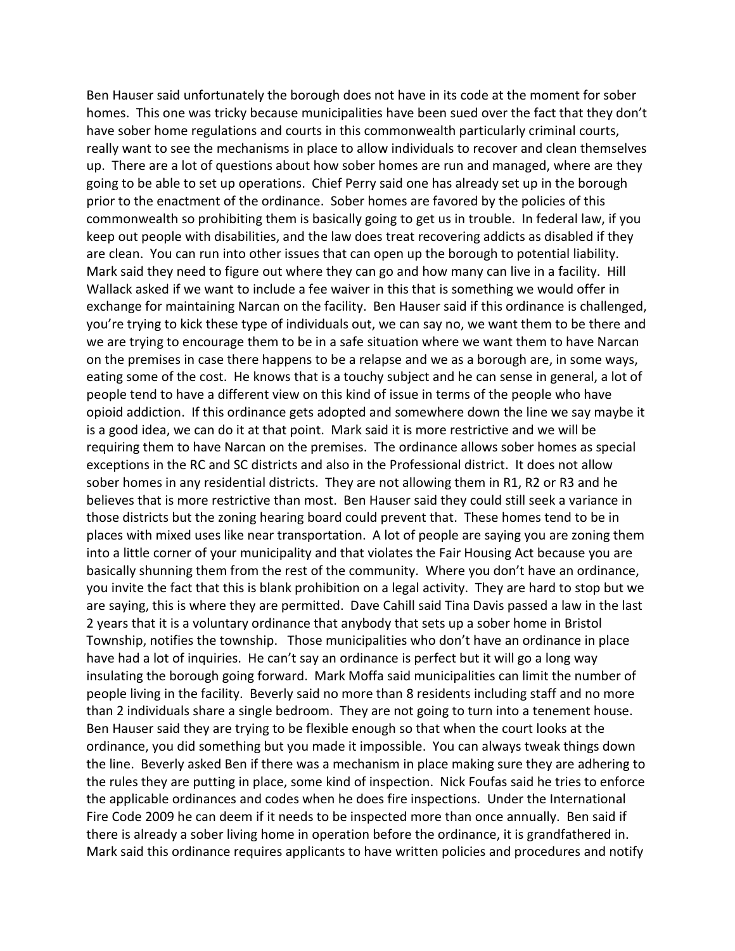Ben Hauser said unfortunately the borough does not have in its code at the moment for sober homes. This one was tricky because municipalities have been sued over the fact that they don't have sober home regulations and courts in this commonwealth particularly criminal courts, really want to see the mechanisms in place to allow individuals to recover and clean themselves up. There are a lot of questions about how sober homes are run and managed, where are they going to be able to set up operations. Chief Perry said one has already set up in the borough prior to the enactment of the ordinance. Sober homes are favored by the policies of this commonwealth so prohibiting them is basically going to get us in trouble. In federal law, if you keep out people with disabilities, and the law does treat recovering addicts as disabled if they are clean. You can run into other issues that can open up the borough to potential liability. Mark said they need to figure out where they can go and how many can live in a facility. Hill Wallack asked if we want to include a fee waiver in this that is something we would offer in exchange for maintaining Narcan on the facility. Ben Hauser said if this ordinance is challenged, you're trying to kick these type of individuals out, we can say no, we want them to be there and we are trying to encourage them to be in a safe situation where we want them to have Narcan on the premises in case there happens to be a relapse and we as a borough are, in some ways, eating some of the cost. He knows that is a touchy subject and he can sense in general, a lot of people tend to have a different view on this kind of issue in terms of the people who have opioid addiction. If this ordinance gets adopted and somewhere down the line we say maybe it is a good idea, we can do it at that point. Mark said it is more restrictive and we will be requiring them to have Narcan on the premises. The ordinance allows sober homes as special exceptions in the RC and SC districts and also in the Professional district. It does not allow sober homes in any residential districts. They are not allowing them in R1, R2 or R3 and he believes that is more restrictive than most. Ben Hauser said they could still seek a variance in those districts but the zoning hearing board could prevent that. These homes tend to be in places with mixed uses like near transportation. A lot of people are saying you are zoning them into a little corner of your municipality and that violates the Fair Housing Act because you are basically shunning them from the rest of the community. Where you don't have an ordinance, you invite the fact that this is blank prohibition on a legal activity. They are hard to stop but we are saying, this is where they are permitted. Dave Cahill said Tina Davis passed a law in the last 2 years that it is a voluntary ordinance that anybody that sets up a sober home in Bristol Township, notifies the township. Those municipalities who don't have an ordinance in place have had a lot of inquiries. He can't say an ordinance is perfect but it will go a long way insulating the borough going forward. Mark Moffa said municipalities can limit the number of people living in the facility. Beverly said no more than 8 residents including staff and no more than 2 individuals share a single bedroom. They are not going to turn into a tenement house. Ben Hauser said they are trying to be flexible enough so that when the court looks at the ordinance, you did something but you made it impossible. You can always tweak things down the line. Beverly asked Ben if there was a mechanism in place making sure they are adhering to the rules they are putting in place, some kind of inspection. Nick Foufas said he tries to enforce the applicable ordinances and codes when he does fire inspections. Under the International Fire Code 2009 he can deem if it needs to be inspected more than once annually. Ben said if there is already a sober living home in operation before the ordinance, it is grandfathered in. Mark said this ordinance requires applicants to have written policies and procedures and notify